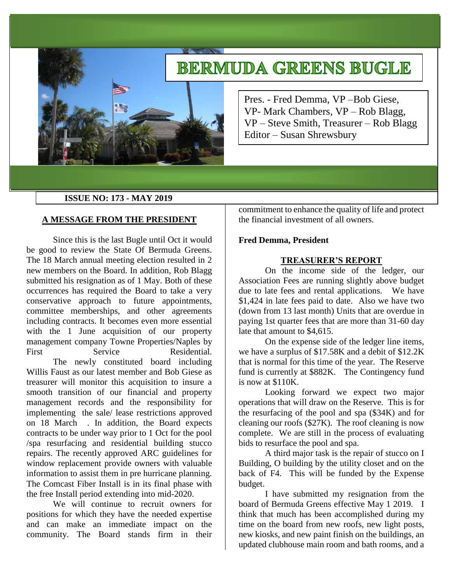# **BERMUDA GREENS BUGLE**



Pres. - Fred Demma, VP –Bob Giese, VP- Mark Chambers, VP – Rob Blagg, VP – Steve Smith, Treasurer – Rob Blagg Editor – Susan Shrewsbury

# **ISSUE NO: 173 - MAY 2019**

# **A MESSAGE FROM THE PRESIDENT**

Since this is the last Bugle until Oct it would be good to review the State Of Bermuda Greens. The 18 March annual meeting election resulted in 2 new members on the Board. In addition, Rob Blagg submitted his resignation as of 1 May. Both of these occurrences has required the Board to take a very conservative approach to future appointments, committee memberships, and other agreements including contracts. It becomes even more essential with the 1 June acquisition of our property management company Towne Properties/Naples by First Service Residential. The newly constituted board including

Willis Faust as our latest member and Bob Giese as treasurer will monitor this acquisition to insure a smooth transition of our financial and property management records and the responsibility for implementing the sale/ lease restrictions approved on 18 March . In addition, the Board expects contracts to be under way prior to 1 Oct for the pool /spa resurfacing and residential building stucco repairs. The recently approved ARC guidelines for window replacement provide owners with valuable information to assist them in pre hurricane planning. The Comcast Fiber Install is in its final phase with the free Install period extending into mid-2020.

We will continue to recruit owners for positions for which they have the needed expertise and can make an immediate impact on the community. The Board stands firm in their

commitment to enhance the quality of life and protect the financial investment of all owners.

## **Fred Demma, President**

# **TREASURER'S REPORT**

On the income side of the ledger, our Association Fees are running slightly above budget due to late fees and rental applications. We have \$1,424 in late fees paid to date. Also we have two (down from 13 last month) Units that are overdue in paying 1st quarter fees that are more than 31-60 day late that amount to \$4,615.

On the expense side of the ledger line items, we have a surplus of \$17.58K and a debit of \$12.2K that is normal for this time of the year. The Reserve fund is currently at \$882K. The Contingency fund is now at \$110K.

Looking forward we expect two major operations that will draw on the Reserve. This is for the resurfacing of the pool and spa (\$34K) and for cleaning our roofs (\$27K). The roof cleaning is now complete. We are still in the process of evaluating bids to resurface the pool and spa.

A third major task is the repair of stucco on I Building, O building by the utility closet and on the back of F4. This will be funded by the Expense budget.

I have submitted my resignation from the board of Bermuda Greens effective May 1 2019. I think that much has been accomplished during my time on the board from new roofs, new light posts, new kiosks, and new paint finish on the buildings, an updated clubhouse main room and bath rooms, and a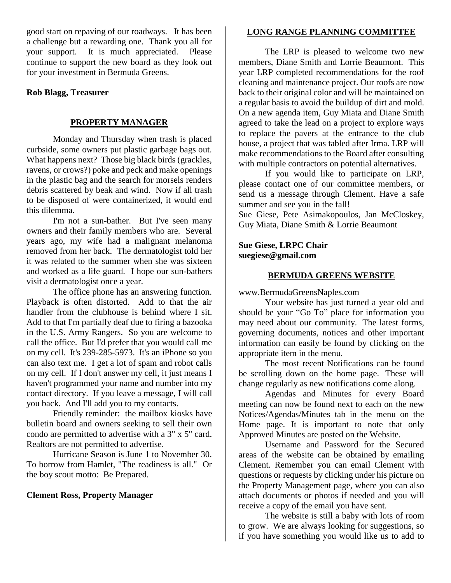good start on repaving of our roadways. It has been a challenge but a rewarding one. Thank you all for your support. It is much appreciated. Please continue to support the new board as they look out for your investment in Bermuda Greens.

## **Rob Blagg, Treasurer**

#### **PROPERTY MANAGER**

Monday and Thursday when trash is placed curbside, some owners put plastic garbage bags out. What happens next? Those big black birds (grackles, ravens, or crows?) poke and peck and make openings in the plastic bag and the search for morsels renders debris scattered by beak and wind. Now if all trash to be disposed of were containerized, it would end this dilemma.

I'm not a sun-bather. But I've seen many owners and their family members who are. Several years ago, my wife had a malignant melanoma removed from her back. The dermatologist told her it was related to the summer when she was sixteen and worked as a life guard. I hope our sun-bathers visit a dermatologist once a year.

The office phone has an answering function. Playback is often distorted. Add to that the air handler from the clubhouse is behind where I sit. Add to that I'm partially deaf due to firing a bazooka in the U.S. Army Rangers. So you are welcome to call the office. But I'd prefer that you would call me on my cell. It's 239-285-5973. It's an iPhone so you can also text me. I get a lot of spam and robot calls on my cell. If I don't answer my cell, it just means I haven't programmed your name and number into my contact directory. If you leave a message, I will call you back. And I'll add you to my contacts.

Friendly reminder: the mailbox kiosks have bulletin board and owners seeking to sell their own condo are permitted to advertise with a 3" x 5" card. Realtors are not permitted to advertise.

Hurricane Season is June 1 to November 30. To borrow from Hamlet, "The readiness is all." Or the boy scout motto: Be Prepared.

#### **Clement Ross, Property Manager**

# **LONG RANGE PLANNING COMMITTEE**

The LRP is pleased to welcome two new members, Diane Smith and Lorrie Beaumont. This year LRP completed recommendations for the roof cleaning and maintenance project. Our roofs are now back to their original color and will be maintained on a regular basis to avoid the buildup of dirt and mold. On a new agenda item, Guy Miata and Diane Smith agreed to take the lead on a project to explore ways to replace the pavers at the entrance to the club house, a project that was tabled after Irma. LRP will make recommendations to the Board after consulting with multiple contractors on potential alternatives.

If you would like to participate on LRP, please contact one of our committee members, or send us a message through Clement. Have a safe summer and see you in the fall!

Sue Giese, Pete Asimakopoulos, Jan McCloskey, Guy Miata, Diane Smith & Lorrie Beaumont

## **Sue Giese, LRPC Chair suegiese@gmail.com**

## **BERMUDA GREENS WEBSITE**

www.BermudaGreensNaples.com

Your website has just turned a year old and should be your "Go To" place for information you may need about our community. The latest forms, governing documents, notices and other important information can easily be found by clicking on the appropriate item in the menu.

The most recent Notifications can be found be scrolling down on the home page. These will change regularly as new notifications come along.

Agendas and Minutes for every Board meeting can now be found next to each on the new Notices/Agendas/Minutes tab in the menu on the Home page. It is important to note that only Approved Minutes are posted on the Website.

Username and Password for the Secured areas of the website can be obtained by emailing Clement. Remember you can email Clement with questions or requests by clicking under his picture on the Property Management page, where you can also attach documents or photos if needed and you will receive a copy of the email you have sent.

The website is still a baby with lots of room to grow. We are always looking for suggestions, so if you have something you would like us to add to